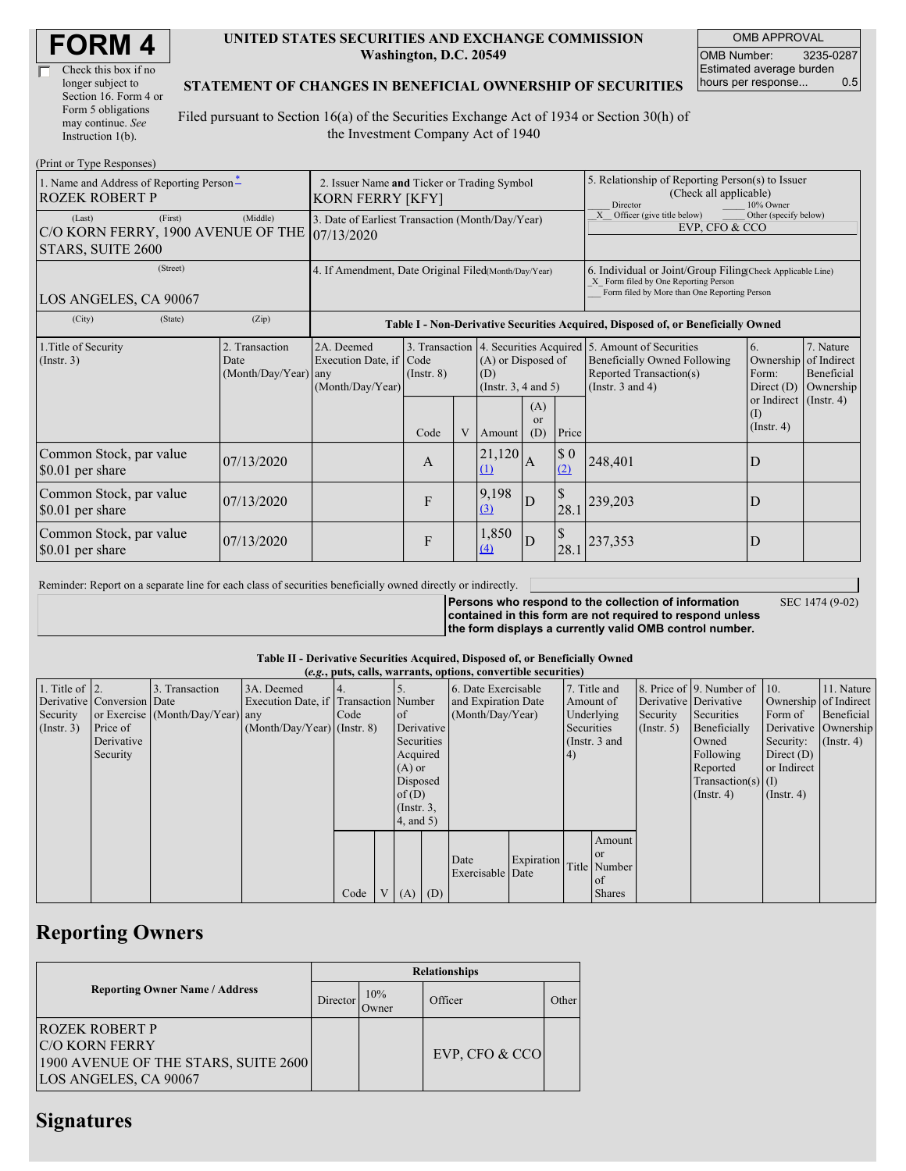| <b>FORM4</b> |
|--------------|
|--------------|

| Check this box if no  |
|-----------------------|
| longer subject to     |
| Section 16. Form 4 or |
| Form 5 obligations    |
| may continue. See     |
| Instruction 1(b).     |

#### **UNITED STATES SECURITIES AND EXCHANGE COMMISSION Washington, D.C. 20549**

OMB APPROVAL OMB Number: 3235-0287 Estimated average burden hours per response... 0.5

### **STATEMENT OF CHANGES IN BENEFICIAL OWNERSHIP OF SECURITIES**

Filed pursuant to Section 16(a) of the Securities Exchange Act of 1934 or Section 30(h) of the Investment Company Act of 1940

| (Print or Type Responses)                                                    |                                                                                                                                                                                                                                                              |                                                                                  |      |                                                                                                                                                                                         |                    |                             |                                                                                                                                                    |         |                                                   |  |
|------------------------------------------------------------------------------|--------------------------------------------------------------------------------------------------------------------------------------------------------------------------------------------------------------------------------------------------------------|----------------------------------------------------------------------------------|------|-----------------------------------------------------------------------------------------------------------------------------------------------------------------------------------------|--------------------|-----------------------------|----------------------------------------------------------------------------------------------------------------------------------------------------|---------|---------------------------------------------------|--|
| 1. Name and Address of Reporting Person-<br><b>ROZEK ROBERT P</b>            | 2. Issuer Name and Ticker or Trading Symbol<br>KORN FERRY [KFY]                                                                                                                                                                                              |                                                                                  |      |                                                                                                                                                                                         |                    |                             | 5. Relationship of Reporting Person(s) to Issuer<br>(Check all applicable)<br>Director<br>10% Owner                                                |         |                                                   |  |
| (First)<br>(Last)<br>C/O KORN FERRY, 1900 AVENUE OF THE<br>STARS, SUITE 2600 | 3. Date of Earliest Transaction (Month/Day/Year)<br>07/13/2020                                                                                                                                                                                               |                                                                                  |      |                                                                                                                                                                                         |                    |                             | Officer (give title below)<br>Other (specify below)<br>X<br>EVP, CFO & CCO                                                                         |         |                                                   |  |
| (Street)<br>LOS ANGELES, CA 90067                                            | 4. If Amendment, Date Original Filed(Month/Day/Year)                                                                                                                                                                                                         |                                                                                  |      |                                                                                                                                                                                         |                    |                             | 6. Individual or Joint/Group Filing Check Applicable Line)<br>X Form filed by One Reporting Person<br>Form filed by More than One Reporting Person |         |                                                   |  |
| (City)<br>(State)                                                            | (Zip)                                                                                                                                                                                                                                                        | Table I - Non-Derivative Securities Acquired, Disposed of, or Beneficially Owned |      |                                                                                                                                                                                         |                    |                             |                                                                                                                                                    |         |                                                   |  |
| 1. Title of Security<br>(Insert. 3)                                          | 3. Transaction   4. Securities Acquired   5. Amount of Securities<br>2. Transaction<br>2A. Deemed<br>Execution Date, if Code<br>(A) or Disposed of<br>Date<br>(Month/Day/Year) any<br>$($ Instr. $8)$<br>(D)<br>(Month/Day/Year)<br>(Instr. $3, 4$ and $5$ ) |                                                                                  |      | 7. Nature<br>6.<br><b>Beneficially Owned Following</b><br>Ownership of Indirect<br>Reported Transaction(s)<br>Form:<br>Beneficial<br>(Instr. $3$ and $4$ )<br>Ownership<br>Direct $(D)$ |                    |                             |                                                                                                                                                    |         |                                                   |  |
|                                                                              |                                                                                                                                                                                                                                                              |                                                                                  | Code | V                                                                                                                                                                                       | Amount             | (A)<br><sub>or</sub><br>(D) | Price                                                                                                                                              |         | or Indirect (Instr. 4)<br>(1)<br>$($ Instr. 4 $)$ |  |
| Common Stock, par value<br>\$0.01 per share                                  | 07/13/2020                                                                                                                                                                                                                                                   |                                                                                  | A    |                                                                                                                                                                                         | 21,120<br>$\Omega$ | $\overline{A}$              | \$0<br>(2)                                                                                                                                         | 248,401 | D                                                 |  |
| Common Stock, par value<br>\$0.01 per share                                  | 07/13/2020                                                                                                                                                                                                                                                   |                                                                                  | F    |                                                                                                                                                                                         | 9,198<br>(3)       | D                           | $\mathcal{S}$<br>28.1                                                                                                                              | 239,203 | D                                                 |  |
| Common Stock, par value<br>\$0.01 per share                                  | 07/13/2020                                                                                                                                                                                                                                                   |                                                                                  | F    |                                                                                                                                                                                         | 1,850<br>(4)       | ID                          | $\mathcal{S}$<br>28.1                                                                                                                              | 237,353 | D                                                 |  |

Reminder: Report on a separate line for each class of securities beneficially owned directly or indirectly.

**Persons who respond to the collection of information contained in this form are not required to respond unless**

SEC 1474 (9-02)

**the form displays a currently valid OMB control number.**

### **Table II - Derivative Securities Acquired, Disposed of, or Beneficially Owned**

|                        | (e.g., puts, calls, warrants, options, convertible securities) |                                  |                                       |      |  |                 |     |                     |            |               |               |                       |                          |                       |                      |
|------------------------|----------------------------------------------------------------|----------------------------------|---------------------------------------|------|--|-----------------|-----|---------------------|------------|---------------|---------------|-----------------------|--------------------------|-----------------------|----------------------|
| 1. Title of $\vert$ 2. |                                                                | 3. Transaction                   | 3A. Deemed                            |      |  |                 |     | 6. Date Exercisable |            |               | 7. Title and  |                       | 8. Price of 9. Number of | $\vert$ 10.           | 11. Nature           |
|                        | Derivative Conversion Date                                     |                                  | Execution Date, if Transaction Number |      |  |                 |     | and Expiration Date |            | Amount of     |               | Derivative Derivative |                          | Ownership of Indirect |                      |
| Security               |                                                                | or Exercise (Month/Day/Year) any |                                       | Code |  | <sub>of</sub>   |     | (Month/Day/Year)    |            | Underlying    |               | Security              | Securities               | Form of               | Beneficial           |
| $($ Instr. 3 $)$       | Price of                                                       |                                  | $(Month/Day/Year)$ (Instr. 8)         |      |  | Derivative      |     |                     |            | Securities    |               | $($ Instr. 5)         | Beneficially             |                       | Derivative Ownership |
|                        | Derivative                                                     |                                  |                                       |      |  | Securities      |     |                     |            | (Instr. 3 and |               |                       | Owned                    | Security:             | $($ Instr. 4 $)$     |
|                        | Security                                                       |                                  |                                       |      |  | Acquired        |     |                     |            | 4)            |               |                       | Following                | Direct $(D)$          |                      |
|                        |                                                                |                                  |                                       |      |  | $(A)$ or        |     |                     |            |               |               |                       | Reported                 | or Indirect           |                      |
|                        |                                                                |                                  |                                       |      |  | Disposed        |     |                     |            |               |               |                       | $Transaction(s)$ (I)     |                       |                      |
|                        |                                                                |                                  |                                       |      |  | of(D)           |     |                     |            |               |               |                       | $($ Instr. 4 $)$         | $($ Instr. 4 $)$      |                      |
|                        |                                                                |                                  |                                       |      |  | $($ Instr. $3,$ |     |                     |            |               |               |                       |                          |                       |                      |
|                        |                                                                |                                  |                                       |      |  | $4$ , and $5$ ) |     |                     |            |               |               |                       |                          |                       |                      |
|                        |                                                                |                                  |                                       |      |  |                 |     |                     |            |               | Amount        |                       |                          |                       |                      |
|                        |                                                                |                                  |                                       |      |  |                 |     |                     |            |               | <sub>or</sub> |                       |                          |                       |                      |
|                        |                                                                |                                  |                                       |      |  |                 |     | Date                | Expiration |               | Title Number  |                       |                          |                       |                      |
|                        |                                                                |                                  |                                       |      |  |                 |     | Exercisable Date    |            |               | of            |                       |                          |                       |                      |
|                        |                                                                |                                  |                                       | Code |  | V(A)            | (D) |                     |            |               | <b>Shares</b> |                       |                          |                       |                      |

# **Reporting Owners**

|                                                                                                                  | <b>Relationships</b> |              |                  |       |  |  |  |  |
|------------------------------------------------------------------------------------------------------------------|----------------------|--------------|------------------|-------|--|--|--|--|
| <b>Reporting Owner Name / Address</b>                                                                            | Director             | 10%<br>Owner | Officer          | Other |  |  |  |  |
| <b>ROZEK ROBERT P</b><br><b>IC/O KORN FERRY</b><br>1900 AVENUE OF THE STARS, SUITE 2600<br>LOS ANGELES, CA 90067 |                      |              | EVP, CFO $&$ CCO |       |  |  |  |  |

# **Signatures**